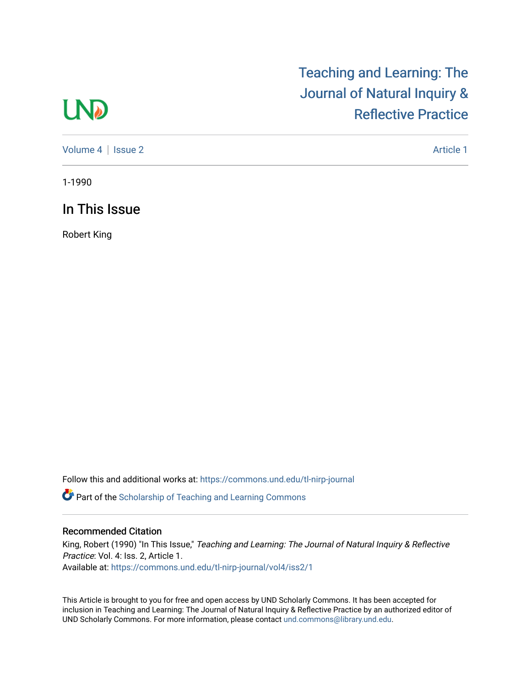## **LND**

## [Teaching and Learning: The](https://commons.und.edu/tl-nirp-journal)  [Journal of Natural Inquiry &](https://commons.und.edu/tl-nirp-journal)  [Reflective Practice](https://commons.und.edu/tl-nirp-journal)

[Volume 4](https://commons.und.edu/tl-nirp-journal/vol4) | [Issue 2](https://commons.und.edu/tl-nirp-journal/vol4/iss2) Article 1

1-1990

In This Issue

Robert King

Follow this and additional works at: [https://commons.und.edu/tl-nirp-journal](https://commons.und.edu/tl-nirp-journal?utm_source=commons.und.edu%2Ftl-nirp-journal%2Fvol4%2Fiss2%2F1&utm_medium=PDF&utm_campaign=PDFCoverPages) 

**P** Part of the Scholarship of Teaching and Learning Commons

## Recommended Citation

King, Robert (1990) "In This Issue," Teaching and Learning: The Journal of Natural Inquiry & Reflective Practice: Vol. 4: Iss. 2, Article 1. Available at: [https://commons.und.edu/tl-nirp-journal/vol4/iss2/1](https://commons.und.edu/tl-nirp-journal/vol4/iss2/1?utm_source=commons.und.edu%2Ftl-nirp-journal%2Fvol4%2Fiss2%2F1&utm_medium=PDF&utm_campaign=PDFCoverPages)

This Article is brought to you for free and open access by UND Scholarly Commons. It has been accepted for inclusion in Teaching and Learning: The Journal of Natural Inquiry & Reflective Practice by an authorized editor of UND Scholarly Commons. For more information, please contact [und.commons@library.und.edu.](mailto:und.commons@library.und.edu)